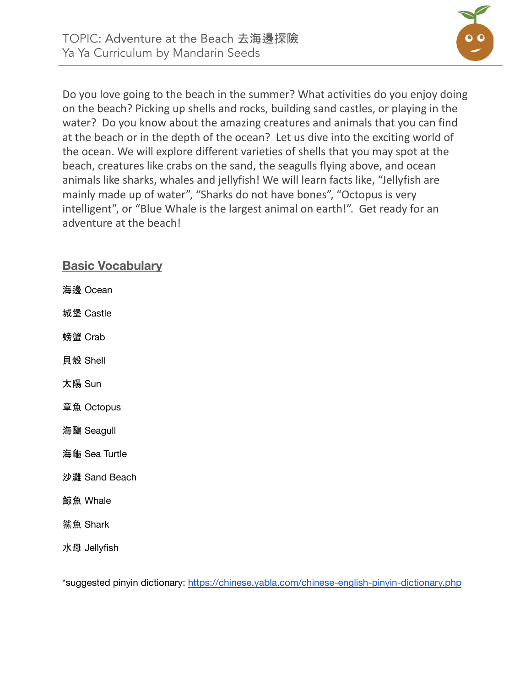

Do you love going to the beach in the summer? What activities do you enjoy doing on the beach? Picking up shells and rocks, building sand castles, or playing in the water? Do you know about the amazing creatures and animals that you can find at the beach or in the depth of the ocean? Let us dive into the exciting world of the ocean. We will explore different varieties of shells that you may spot at the beach, creatures like crabs on the sand, the seagulls flying above, and ocean animals like sharks, whales and jellyfish! We will learn facts like, "Jellyfish are mainly made up of water", "Sharks do not have bones", "Octopus is very intelligent", or "Blue Whale is the largest animal on earth!". Get ready for an adventure at the beach!

## **Basic Vocabulary**

海邊 Ocean

城堡 Castle

螃蟹 Crab

貝殼 Shell

太陽 Sun

章魚 Octopus

海鷗 Seagull

海龜 Sea Turtle

沙灘 Sand Beach

鯨魚 Whale

鯊魚 Shark

水母 Jellyfish

\*suggested pinyin dictionary: <https://chinese.yabla.com/chinese-english-pinyin-dictionary.php>